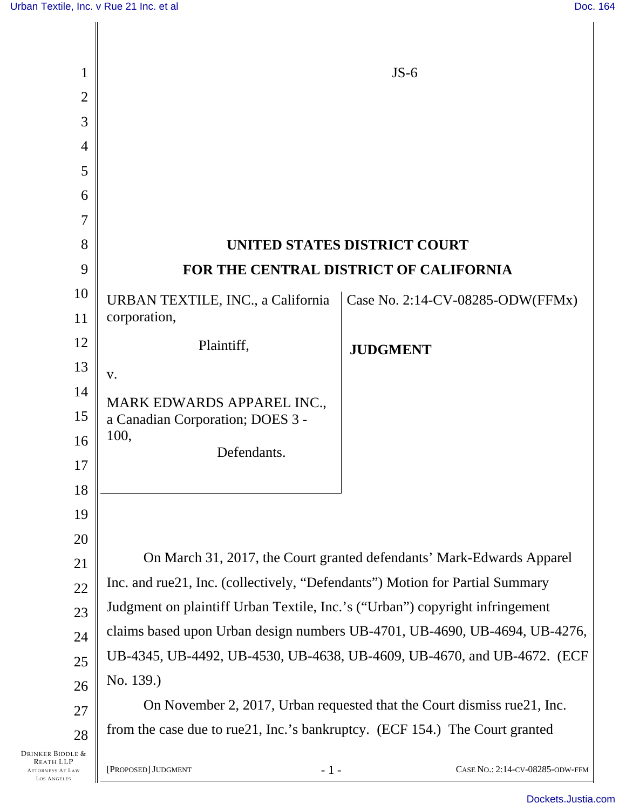| 1                                                                                     |                                                                                                                                                            | $JS-6$                           |
|---------------------------------------------------------------------------------------|------------------------------------------------------------------------------------------------------------------------------------------------------------|----------------------------------|
| $\overline{2}$                                                                        |                                                                                                                                                            |                                  |
| 3                                                                                     |                                                                                                                                                            |                                  |
| $\overline{4}$                                                                        |                                                                                                                                                            |                                  |
| 5                                                                                     |                                                                                                                                                            |                                  |
| 6                                                                                     |                                                                                                                                                            |                                  |
| $\overline{7}$                                                                        |                                                                                                                                                            |                                  |
| 8                                                                                     |                                                                                                                                                            | UNITED STATES DISTRICT COURT     |
| 9                                                                                     | FOR THE CENTRAL DISTRICT OF CALIFORNIA                                                                                                                     |                                  |
| 10                                                                                    | URBAN TEXTILE, INC., a California                                                                                                                          | Case No. 2:14-CV-08285-ODW(FFMx) |
| 11                                                                                    | corporation,                                                                                                                                               |                                  |
| 12                                                                                    | Plaintiff,                                                                                                                                                 | <b>JUDGMENT</b>                  |
| 13                                                                                    | V.                                                                                                                                                         |                                  |
| 14                                                                                    | MARK EDWARDS APPAREL INC.,                                                                                                                                 |                                  |
| 15                                                                                    | a Canadian Corporation; DOES 3 -                                                                                                                           |                                  |
| 16                                                                                    | 100,<br>Defendants.                                                                                                                                        |                                  |
| 17                                                                                    |                                                                                                                                                            |                                  |
| 18                                                                                    |                                                                                                                                                            |                                  |
| 19                                                                                    |                                                                                                                                                            |                                  |
| 20                                                                                    |                                                                                                                                                            |                                  |
| 21                                                                                    | On March 31, 2017, the Court granted defendants' Mark-Edwards Apparel                                                                                      |                                  |
| 22                                                                                    | Inc. and rue21, Inc. (collectively, "Defendants") Motion for Partial Summary                                                                               |                                  |
| 23                                                                                    | Judgment on plaintiff Urban Textile, Inc.'s ("Urban") copyright infringement<br>claims based upon Urban design numbers UB-4701, UB-4690, UB-4694, UB-4276, |                                  |
| 24                                                                                    | UB-4345, UB-4492, UB-4530, UB-4638, UB-4609, UB-4670, and UB-4672. (ECF                                                                                    |                                  |
| 25                                                                                    | No. 139.)                                                                                                                                                  |                                  |
| 26<br>27                                                                              | On November 2, 2017, Urban requested that the Court dismiss rue 21, Inc.                                                                                   |                                  |
| 28                                                                                    | from the case due to rue21, Inc.'s bankruptcy. (ECF 154.) The Court granted                                                                                |                                  |
| Drinker Biddle &<br><b>REATH LLP</b><br><b>ATTORNEYS AT LAW</b><br><b>LOS ANGELES</b> | $-1-$<br>[PROPOSED] JUDGMENT                                                                                                                               | CASE No.: 2:14-CV-08285-ODW-FFM  |